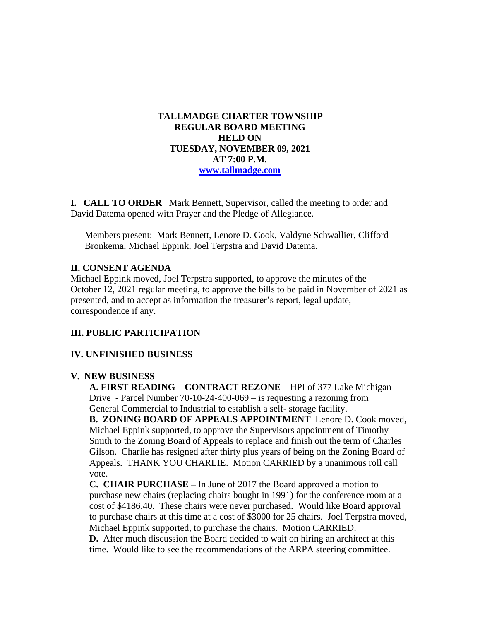## **TALLMADGE CHARTER TOWNSHIP REGULAR BOARD MEETING HELD ON TUESDAY, NOVEMBER 09, 2021 AT 7:00 P.M. [www.tallmadge.com](http://www.tallmadge.com/)**

**I. CALL TO ORDER** Mark Bennett, Supervisor, called the meeting to order and David Datema opened with Prayer and the Pledge of Allegiance.

Members present: Mark Bennett, Lenore D. Cook, Valdyne Schwallier, Clifford Bronkema, Michael Eppink, Joel Terpstra and David Datema.

#### **II. CONSENT AGENDA**

Michael Eppink moved, Joel Terpstra supported, to approve the minutes of the October 12, 2021 regular meeting, to approve the bills to be paid in November of 2021 as presented, and to accept as information the treasurer's report, legal update, correspondence if any.

## **III. PUBLIC PARTICIPATION**

#### **IV. UNFINISHED BUSINESS**

#### **V. NEW BUSINESS**

 **A. FIRST READING – CONTRACT REZONE –** HPI of 377 Lake Michigan Drive - Parcel Number 70-10-24-400-069 – is requesting a rezoning from General Commercial to Industrial to establish a self- storage facility.

 **B. ZONING BOARD OF APPEALS APPOINTMENT** Lenore D. Cook moved, Michael Eppink supported, to approve the Supervisors appointment of Timothy Smith to the Zoning Board of Appeals to replace and finish out the term of Charles Gilson. Charlie has resigned after thirty plus years of being on the Zoning Board of Appeals. THANK YOU CHARLIE. Motion CARRIED by a unanimous roll call vote.

 **C. CHAIR PURCHASE –** In June of 2017 the Board approved a motion to purchase new chairs (replacing chairs bought in 1991) for the conference room at a cost of \$4186.40. These chairs were never purchased. Would like Board approval to purchase chairs at this time at a cost of \$3000 for 25 chairs. Joel Terpstra moved, Michael Eppink supported, to purchase the chairs. Motion CARRIED.

 **D.** After much discussion the Board decided to wait on hiring an architect at this time. Would like to see the recommendations of the ARPA steering committee.